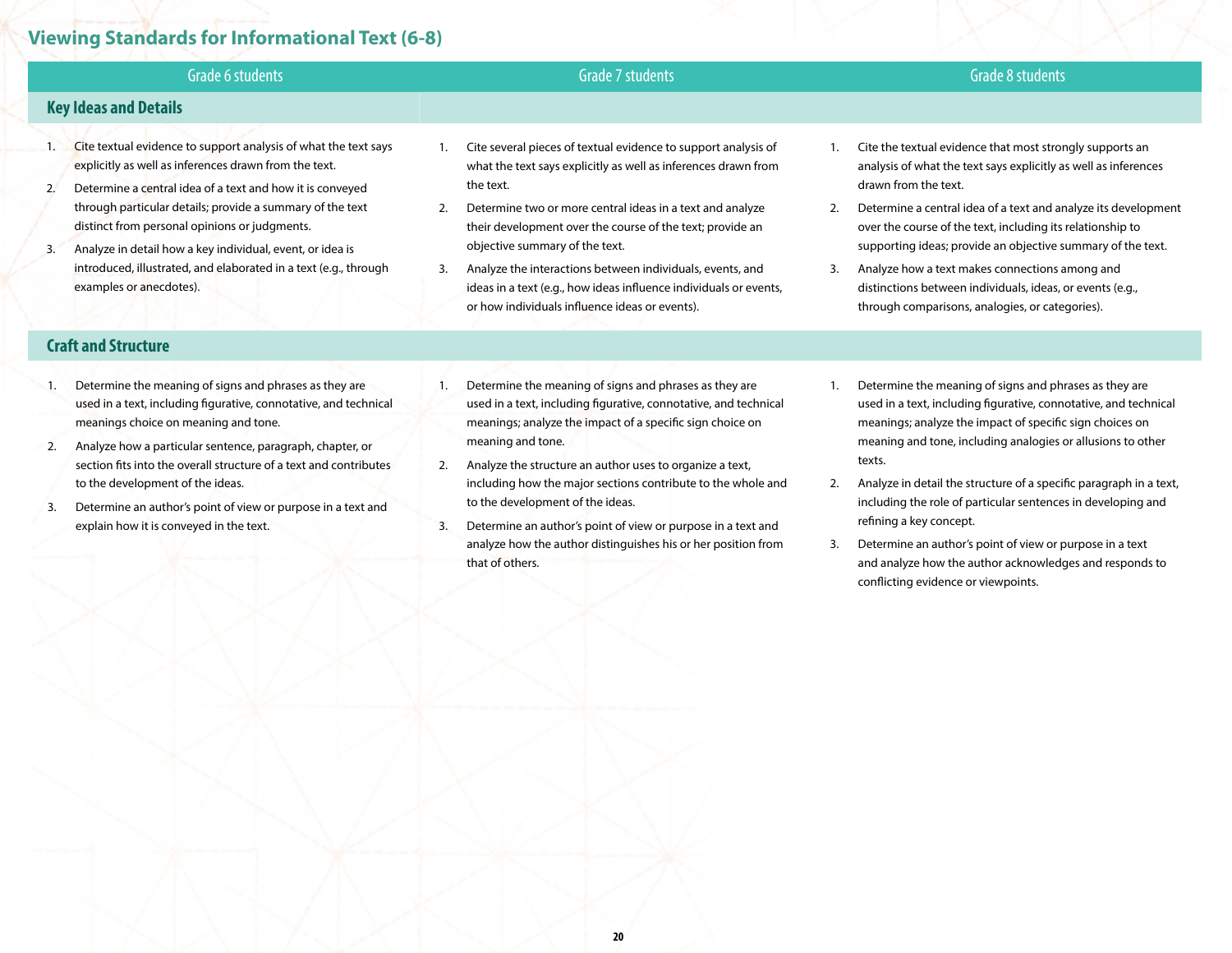## **Viewing Standards for Informational Text (6-8)**

|    | Grade 6 students                                                                                                                                                                      | Grade 7 students                                                                                                                                                                       | Grade 8 students                                                                                                                                                                                  |
|----|---------------------------------------------------------------------------------------------------------------------------------------------------------------------------------------|----------------------------------------------------------------------------------------------------------------------------------------------------------------------------------------|---------------------------------------------------------------------------------------------------------------------------------------------------------------------------------------------------|
|    | <b>Key Ideas and Details</b>                                                                                                                                                          |                                                                                                                                                                                        |                                                                                                                                                                                                   |
| 2. | Cite textual evidence to support analysis of what the text says<br>explicitly as well as inferences drawn from the text.<br>Determine a central idea of a text and how it is conveyed | Cite several pieces of textual evidence to support analysis of<br>what the text says explicitly as well as inferences drawn from<br>the text.                                          | Cite the textual evidence that most strongly supports an<br>analysis of what the text says explicitly as well as inferences<br>drawn from the text.                                               |
| 3. | through particular details; provide a summary of the text<br>distinct from personal opinions or judgments.<br>Analyze in detail how a key individual, event, or idea is               | Determine two or more central ideas in a text and analyze<br>2.<br>their development over the course of the text; provide an<br>objective summary of the text.                         | Determine a central idea of a text and analyze its development<br>2.<br>over the course of the text, including its relationship to<br>supporting ideas; provide an objective summary of the text. |
|    | introduced, illustrated, and elaborated in a text (e.g., through<br>examples or anecdotes).                                                                                           | Analyze the interactions between individuals, events, and<br>3.<br>ideas in a text (e.g., how ideas influence individuals or events,<br>or how individuals influence ideas or events). | 3.<br>Analyze how a text makes connections among and<br>distinctions between individuals, ideas, or events (e.g.,<br>through comparisons, analogies, or categories).                              |
|    | <b>Craft and Structure</b>                                                                                                                                                            |                                                                                                                                                                                        |                                                                                                                                                                                                   |
|    | Determine the meaning of signs and phrases as they are<br>used in a text, including figurative, connotative, and technical                                                            | Determine the meaning of signs and phrases as they are<br>used in a text, including figurative, connotative, and technical                                                             | Determine the meaning of signs and phrases as they are<br>used in a text, including figurative, connotative, and technical                                                                        |

2. Analyze how a particular sentence, paragraph, chapter, or section fits into the overall structure of a text and contributes to the development of the ideas.

meanings choice on meaning and tone.

- 3. Determine an author's point of view or purpose in a text and explain how it is conveyed in the text.
- meanings; analyze the impact of a specific sign choice on meaning and tone.
- 2. Analyze the structure an author uses to organize a text, including how the major sections contribute to the whole and to the development of the ideas.
- 3. Determine an author's point of view or purpose in a text and analyze how the author distinguishes his or her position from that of others.
- meanings; analyze the impact of specific sign choices on meaning and tone, including analogies or allusions to other texts.
- 2. Analyze in detail the structure of a specific paragraph in a text, including the role of particular sentences in developing and refining a key concept.
- 3. Determine an author's point of view or purpose in a text and analyze how the author acknowledges and responds to conflicting evidence or viewpoints.